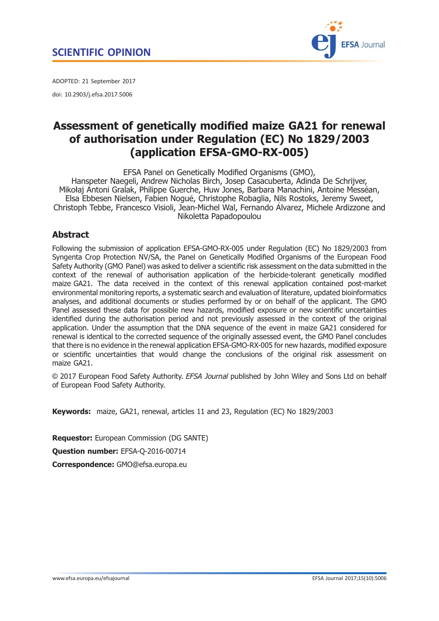

<span id="page-0-0"></span>ADOPTED: 21 September 2017 doi: 10.2903/j.efsa.2017.5006

# Assessment of genetically modified maize GA21 for renewal of authorisation under Regulation (EC) No 1829/2003 (application EFSA-GMO-RX-005)

EFSA Panel on Genetically Modified Organisms (GMO), Hanspeter Naegeli, Andrew Nicholas Birch, Josep Casacuberta, Adinda De Schrijver, Mikołaj Antoni Gralak, Philippe Guerche, Huw Jones, Barbara Manachini, Antoine Messean, Elsa Ebbesen Nielsen, Fabien Nogue, Christophe Robaglia, Nils Rostoks, Jeremy Sweet, Christoph Tebbe, Francesco Visioli, Jean-Michel Wal, Fernando Alvarez, Michele Ardizzone and Nikoletta Papadopoulou

## **Abstract**

Following the submission of application EFSA-GMO-RX-005 under Regulation (EC) No 1829/2003 from Syngenta Crop Protection NV/SA, the Panel on Genetically Modified Organisms of the European Food Safety Authority (GMO Panel) was asked to deliver a scientific risk assessment on the data submitted in the context of the renewal of authorisation application of the herbicide-tolerant genetically modified maize GA21. The data received in the context of this renewal application contained post-market environmental monitoring reports, a systematic search and evaluation of literature, updated bioinformatics analyses, and additional documents or studies performed by or on behalf of the applicant. The GMO Panel assessed these data for possible new hazards, modified exposure or new scientific uncertainties identified during the authorisation period and not previously assessed in the context of the original application. Under the assumption that the DNA sequence of the event in maize GA21 considered for renewal is identical to the corrected sequence of the originally assessed event, the GMO Panel concludes that there is no evidence in the renewal application EFSA-GMO-RX-005 for new hazards, modified exposure or scientific uncertainties that would change the conclusions of the original risk assessment on maize GA21.

© 2017 European Food Safety Authority. EFSA Journal published by John Wiley and Sons Ltd on behalf of European Food Safety Authority.

Keywords: maize, GA21, renewal, articles 11 and 23, Regulation (EC) No 1829/2003

Requestor: European Commission (DG SANTE) Question number: EFSA-Q-2016-00714 Correspondence: GMO@efsa.europa.eu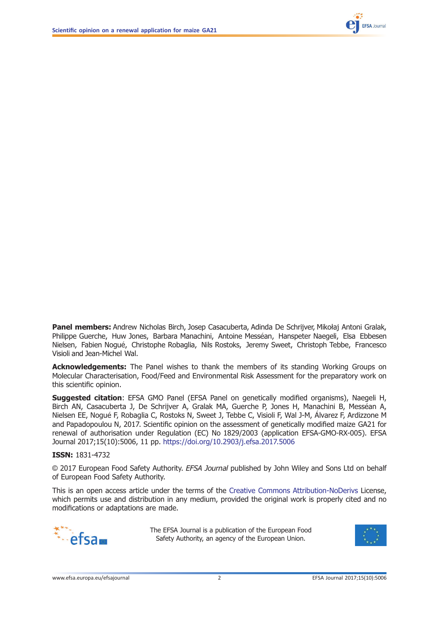

Panel members: Andrew Nicholas Birch, Josep Casacuberta, Adinda De Schrijver, Mikołaj Antoni Gralak, Philippe Guerche, Huw Jones, Barbara Manachini, Antoine Messean, Hanspeter Naegeli, Elsa Ebbesen Nielsen, Fabien Nogue, Christophe Robaglia, Nils Rostoks, Jeremy Sweet, Christoph Tebbe, Francesco Visioli and Jean-Michel Wal.

Acknowledgements: The Panel wishes to thank the members of its standing Working Groups on Molecular Characterisation, Food/Feed and Environmental Risk Assessment for the preparatory work on this scientific opinion.

Suggested citation: EFSA GMO Panel (EFSA Panel on genetically modified organisms), Naegeli H, Birch AN, Casacuberta J, De Schrijver A, Gralak MA, Guerche P, Jones H, Manachini B, Messéan A, Nielsen EE, Nogue F, Robaglia C, Rostoks N, Sweet J, Tebbe C, Visioli F, Wal J-M, Alvarez F, Ardizzone M and Papadopoulou N, 2017. Scientific opinion on the assessment of genetically modified maize GA21 for renewal of authorisation under Regulation (EC) No 1829/2003 (application EFSA-GMO-RX-005). EFSA Journal 2017;15(10):5006, 11 pp. [https://doi.org/10.2903/j.efsa.2017.5006](https://doi.org/10.2903/j.efsa.2017.ON-5006)

#### ISSN: 1831-4732

© 2017 European Food Safety Authority. EFSA Journal published by John Wiley and Sons Ltd on behalf of European Food Safety Authority.

This is an open access article under the terms of the [Creative Commons Attribution-NoDerivs](http://creativecommons.org/licenses/by-nd/4.0/) License, which permits use and distribution in any medium, provided the original work is properly cited and no modifications or adaptations are made.



The EFSA Journal is a publication of the European Food Safety Authority, an agency of the European Union.

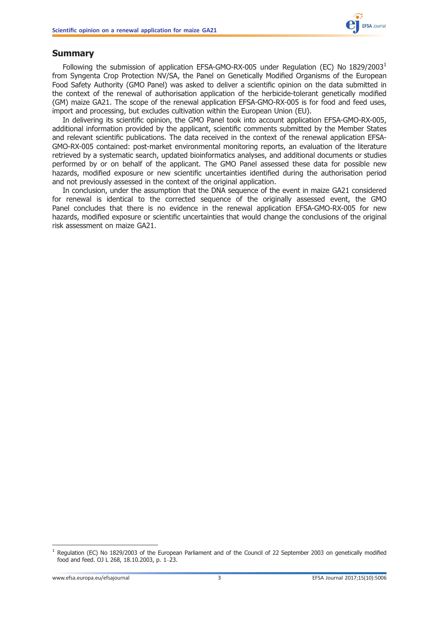

## <span id="page-2-0"></span>Summary

Following the submission of application EFSA-GMO-RX-005 under Regulation (EC) No  $1829/2003<sup>1</sup>$ from Syngenta Crop Protection NV/SA, the Panel on Genetically Modified Organisms of the European Food Safety Authority (GMO Panel) was asked to deliver a scientific opinion on the data submitted in the context of the renewal of authorisation application of the herbicide-tolerant genetically modified (GM) maize GA21. The scope of the renewal application EFSA-GMO-RX-005 is for food and feed uses, import and processing, but excludes cultivation within the European Union (EU).

In delivering its scientific opinion, the GMO Panel took into account application EFSA-GMO-RX-005, additional information provided by the applicant, scientific comments submitted by the Member States and relevant scientific publications. The data received in the context of the renewal application EFSA-GMO-RX-005 contained: post-market environmental monitoring reports, an evaluation of the literature retrieved by a systematic search, updated bioinformatics analyses, and additional documents or studies performed by or on behalf of the applicant. The GMO Panel assessed these data for possible new hazards, modified exposure or new scientific uncertainties identified during the authorisation period and not previously assessed in the context of the original application.

In conclusion, under the assumption that the DNA sequence of the event in maize GA21 considered for renewal is identical to the corrected sequence of the originally assessed event, the GMO Panel concludes that there is no evidence in the renewal application EFSA-GMO-RX-005 for new hazards, modified exposure or scientific uncertainties that would change the conclusions of the original risk assessment on maize GA21.

 $1$  Regulation (EC) No 1829/2003 of the European Parliament and of the Council of 22 September 2003 on genetically modified food and feed. OJ L 268, 18.10.2003, p. 1–23.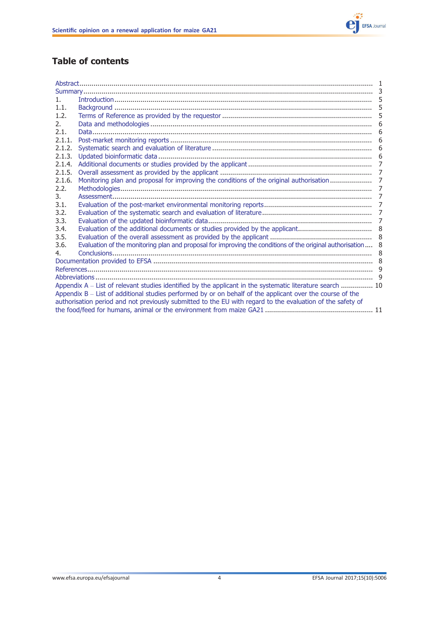

## Table of contents

| 1.                                                                                                         |                                                                                                              | 5 |  |  |
|------------------------------------------------------------------------------------------------------------|--------------------------------------------------------------------------------------------------------------|---|--|--|
| 1.1.                                                                                                       |                                                                                                              | 5 |  |  |
| 1.2.                                                                                                       |                                                                                                              |   |  |  |
| 2.                                                                                                         |                                                                                                              |   |  |  |
| 2.1.                                                                                                       |                                                                                                              | 6 |  |  |
| 2.1.1.                                                                                                     |                                                                                                              | 6 |  |  |
| 2.1.2.                                                                                                     |                                                                                                              |   |  |  |
| 2.1.3.                                                                                                     |                                                                                                              | 6 |  |  |
| 2.1.4.                                                                                                     |                                                                                                              |   |  |  |
| 2.1.5.                                                                                                     |                                                                                                              |   |  |  |
| 2.1.6.                                                                                                     |                                                                                                              |   |  |  |
| 2.2.                                                                                                       |                                                                                                              | 7 |  |  |
| 3.                                                                                                         |                                                                                                              |   |  |  |
| 3.1.                                                                                                       |                                                                                                              |   |  |  |
| 3.2.                                                                                                       |                                                                                                              | 7 |  |  |
| 3.3.                                                                                                       |                                                                                                              |   |  |  |
| 3.4.                                                                                                       |                                                                                                              |   |  |  |
| 3.5.                                                                                                       |                                                                                                              | 8 |  |  |
| 3.6.                                                                                                       | Evaluation of the monitoring plan and proposal for improving the conditions of the original authorisation  8 |   |  |  |
| 4.                                                                                                         |                                                                                                              |   |  |  |
|                                                                                                            |                                                                                                              |   |  |  |
|                                                                                                            |                                                                                                              |   |  |  |
|                                                                                                            |                                                                                                              |   |  |  |
| Appendix A – List of relevant studies identified by the applicant in the systematic literature search  10  |                                                                                                              |   |  |  |
| Appendix B - List of additional studies performed by or on behalf of the applicant over the course of the  |                                                                                                              |   |  |  |
| authorisation period and not previously submitted to the EU with regard to the evaluation of the safety of |                                                                                                              |   |  |  |
|                                                                                                            |                                                                                                              |   |  |  |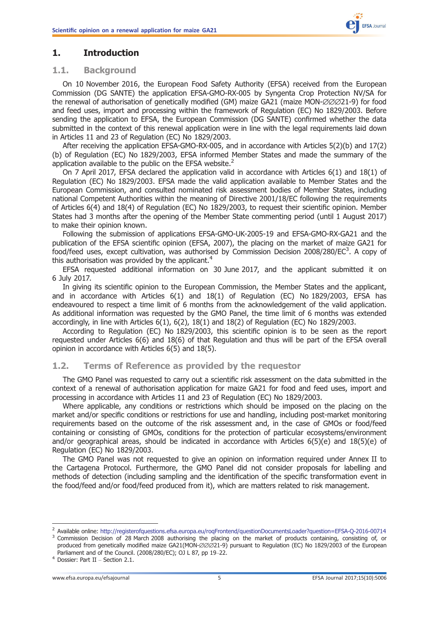## <span id="page-4-0"></span>1. Introduction

### 1.1. Background

On 10 November 2016, the European Food Safety Authority (EFSA) received from the European Commission (DG SANTE) the application EFSA-GMO-RX-005 by Syngenta Crop Protection NV/SA for the renewal of authorisation of genetically modified (GM) maize GA21 (maize MON-∅∅∅21-9) for food and feed uses, import and processing within the framework of Regulation (EC) No 1829/2003. Before sending the application to EFSA, the European Commission (DG SANTE) confirmed whether the data submitted in the context of this renewal application were in line with the legal requirements laid down in Articles 11 and 23 of Regulation (EC) No 1829/2003.

After receiving the application EFSA-GMO-RX-005, and in accordance with Articles 5(2)(b) and 17(2) (b) of Regulation (EC) No 1829/2003, EFSA informed Member States and made the summary of the application available to the public on the EFSA website.<sup>2</sup>

On 7 April 2017, EFSA declared the application valid in accordance with Articles 6(1) and 18(1) of Regulation (EC) No 1829/2003. EFSA made the valid application available to Member States and the European Commission, and consulted nominated risk assessment bodies of Member States, including national Competent Authorities within the meaning of Directive 2001/18/EC following the requirements of Articles 6(4) and 18(4) of Regulation (EC) No 1829/2003, to request their scientific opinion. Member States had 3 months after the opening of the Member State commenting period (until 1 August 2017) to make their opinion known.

Following the submission of applications EFSA-GMO-UK-2005-19 and EFSA-GMO-RX-GA21 and the publication of the EFSA scientific opinion (EFSA, 2007), the placing on the market of maize GA21 for food/feed uses, except cultivation, was authorised by Commission Decision 2008/280/EC<sup>3</sup>. A copy of this authorisation was provided by the applicant.<sup>4</sup>

EFSA requested additional information on 30 June 2017, and the applicant submitted it on 6 July 2017.

In giving its scientific opinion to the European Commission, the Member States and the applicant, and in accordance with Articles 6(1) and 18(1) of Regulation (EC) No 1829/2003, EFSA has endeavoured to respect a time limit of 6 months from the acknowledgement of the valid application. As additional information was requested by the GMO Panel, the time limit of 6 months was extended accordingly, in line with Articles 6(1), 6(2), 18(1) and 18(2) of Regulation (EC) No 1829/2003.

According to Regulation (EC) No 1829/2003, this scientific opinion is to be seen as the report requested under Articles 6(6) and 18(6) of that Regulation and thus will be part of the EFSA overall opinion in accordance with Articles 6(5) and 18(5).

## 1.2. Terms of Reference as provided by the requestor

The GMO Panel was requested to carry out a scientific risk assessment on the data submitted in the context of a renewal of authorisation application for maize GA21 for food and feed uses, import and processing in accordance with Articles 11 and 23 of Regulation (EC) No 1829/2003.

Where applicable, any conditions or restrictions which should be imposed on the placing on the market and/or specific conditions or restrictions for use and handling, including post-market monitoring requirements based on the outcome of the risk assessment and, in the case of GMOs or food/feed containing or consisting of GMOs, conditions for the protection of particular ecosystems/environment and/or geographical areas, should be indicated in accordance with Articles 6(5)(e) and 18(5)(e) of Regulation (EC) No 1829/2003.

The GMO Panel was not requested to give an opinion on information required under Annex II to the Cartagena Protocol. Furthermore, the GMO Panel did not consider proposals for labelling and methods of detection (including sampling and the identification of the specific transformation event in the food/feed and/or food/feed produced from it), which are matters related to risk management.

<sup>&</sup>lt;sup>2</sup> Available online: <http://registerofquestions.efsa.europa.eu/roqFrontend/questionDocumentsLoader?question=EFSA-Q-2016-00714><br><sup>3</sup> Commission Decision of 28 March 2008 authorising the placing on the market of products con

produced from genetically modified maize GA21(MON-∅∅∅21-9) pursuant to Regulation (EC) No 1829/2003 of the European Parliament and of the Council. (2008/280/EC); OJ L 87, pp 19–22.<br><sup>4</sup> Dossier: Part II – Section 2.1.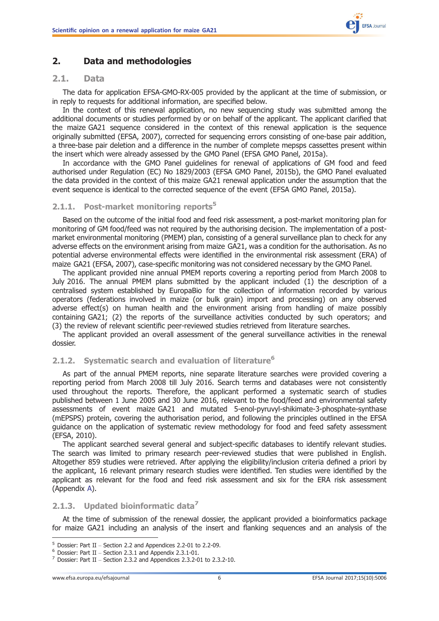

## <span id="page-5-0"></span>2. Data and methodologies

#### 2.1. Data

The data for application EFSA-GMO-RX-005 provided by the applicant at the time of submission, or in reply to requests for additional information, are specified below.

In the context of this renewal application, no new sequencing study was submitted among the additional documents or studies performed by or on behalf of the applicant. The applicant clarified that the maize GA21 sequence considered in the context of this renewal application is the sequence originally submitted (EFSA, 2007), corrected for sequencing errors consisting of one-base pair addition, a three-base pair deletion and a difference in the number of complete mepsps cassettes present within the insert which were already assessed by the GMO Panel (EFSA GMO Panel, 2015a).

In accordance with the GMO Panel guidelines for renewal of applications of GM food and feed authorised under Regulation (EC) No 1829/2003 (EFSA GMO Panel, 2015b), the GMO Panel evaluated the data provided in the context of this maize GA21 renewal application under the assumption that the event sequence is identical to the corrected sequence of the event (EFSA GMO Panel, 2015a).

#### 2.1.1. Post-market monitoring reports<sup>5</sup>

Based on the outcome of the initial food and feed risk assessment, a post-market monitoring plan for monitoring of GM food/feed was not required by the authorising decision. The implementation of a postmarket environmental monitoring (PMEM) plan, consisting of a general surveillance plan to check for any adverse effects on the environment arising from maize GA21, was a condition for the authorisation. As no potential adverse environmental effects were identified in the environmental risk assessment (ERA) of maize GA21 (EFSA, 2007), case-specific monitoring was not considered necessary by the GMO Panel.

The applicant provided nine annual PMEM reports covering a reporting period from March 2008 to July 2016. The annual PMEM plans submitted by the applicant included (1) the description of a centralised system established by EuropaBio for the collection of information recorded by various operators (federations involved in maize (or bulk grain) import and processing) on any observed adverse effect(s) on human health and the environment arising from handling of maize possibly containing GA21; (2) the reports of the surveillance activities conducted by such operators; and (3) the review of relevant scientific peer-reviewed studies retrieved from literature searches.

The applicant provided an overall assessment of the general surveillance activities in the renewal dossier.

#### 2.1.2. Systematic search and evaluation of literature<sup>6</sup>

As part of the annual PMEM reports, nine separate literature searches were provided covering a reporting period from March 2008 till July 2016. Search terms and databases were not consistently used throughout the reports. Therefore, the applicant performed a systematic search of studies published between 1 June 2005 and 30 June 2016, relevant to the food/feed and environmental safety assessments of event maize GA21 and mutated 5-enol-pyruvyl-shikimate-3-phosphate-synthase (mEPSPS) protein, covering the authorisation period, and following the principles outlined in the EFSA guidance on the application of systematic review methodology for food and feed safety assessment (EFSA, 2010).

The applicant searched several general and subject-specific databases to identify relevant studies. The search was limited to primary research peer-reviewed studies that were published in English. Altogether 859 studies were retrieved. After applying the eligibility/inclusion criteria defined a priori by the applicant, 16 relevant primary research studies were identified. Ten studies were identified by the applicant as relevant for the food and feed risk assessment and six for the ERA risk assessment (Appendix [A](#page-9-0)).

#### 2.1.3. Updated bioinformatic data $^7$

At the time of submission of the renewal dossier, the applicant provided a bioinformatics package for maize GA21 including an analysis of the insert and flanking sequences and an analysis of the

<sup>&</sup>lt;sup>5</sup> Dossier: Part II – Section 2.2 and Appendices 2.2-01 to 2.2-09.<br><sup>6</sup> Dossier: Part II – Section 2.3.1 and Appendix 2.3.1-01.<br><sup>7</sup> Dossier: Part II – Section 2.3.2 and Appendices 2.3.2-01 to 2.3.2-10.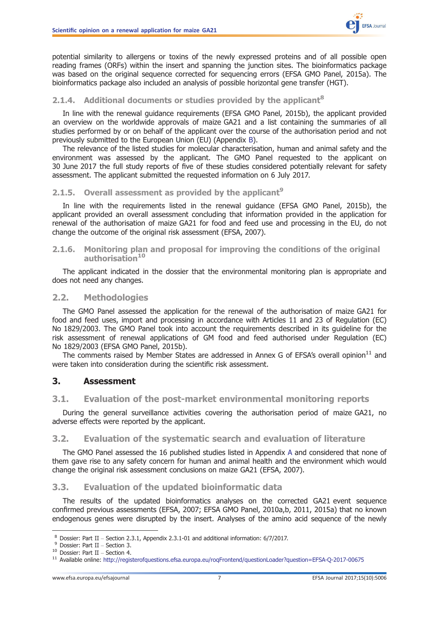

<span id="page-6-0"></span>potential similarity to allergens or toxins of the newly expressed proteins and of all possible open reading frames (ORFs) within the insert and spanning the junction sites. The bioinformatics package was based on the original sequence corrected for sequencing errors (EFSA GMO Panel, 2015a). The bioinformatics package also included an analysis of possible horizontal gene transfer (HGT).

### 2.1.4. Additional documents or studies provided by the applicant<sup>8</sup>

In line with the renewal guidance requirements (EFSA GMO Panel, 2015b), the applicant provided an overview on the worldwide approvals of maize GA21 and a list containing the summaries of all studies performed by or on behalf of the applicant over the course of the authorisation period and not previously submitted to the European Union (EU) (Appendix [B](#page-10-0)).

The relevance of the listed studies for molecular characterisation, human and animal safety and the environment was assessed by the applicant. The GMO Panel requested to the applicant on 30 June 2017 the full study reports of five of these studies considered potentially relevant for safety assessment. The applicant submitted the requested information on 6 July 2017.

#### 2.1.5. Overall assessment as provided by the applicant<sup>9</sup>

In line with the requirements listed in the renewal guidance (EFSA GMO Panel, 2015b), the applicant provided an overall assessment concluding that information provided in the application for renewal of the authorisation of maize GA21 for food and feed use and processing in the EU, do not change the outcome of the original risk assessment (EFSA, 2007).

#### 2.1.6. Monitoring plan and proposal for improving the conditions of the original authorisation<sup>10</sup>

The applicant indicated in the dossier that the environmental monitoring plan is appropriate and does not need any changes.

#### 2.2. Methodologies

The GMO Panel assessed the application for the renewal of the authorisation of maize GA21 for food and feed uses, import and processing in accordance with Articles 11 and 23 of Regulation (EC) No 1829/2003. The GMO Panel took into account the requirements described in its guideline for the risk assessment of renewal applications of GM food and feed authorised under Regulation (EC) No 1829/2003 (EFSA GMO Panel, 2015b).

The comments raised by Member States are addressed in Annex G of EFSA's overall opinion<sup>11</sup> and were taken into consideration during the scientific risk assessment.

#### 3. Assessment

#### 3.1. Evaluation of the post-market environmental monitoring reports

During the general surveillance activities covering the authorisation period of maize GA21, no adverse effects were reported by the applicant.

#### 3.2. Evaluation of the systematic search and evaluation of literature

The GMO Panel assessed the 16 published studies listed in Appendix [A](#page-9-0) and considered that none of them gave rise to any safety concern for human and animal health and the environment which would change the original risk assessment conclusions on maize GA21 (EFSA, 2007).

#### 3.3. Evaluation of the updated bioinformatic data

The results of the updated bioinformatics analyses on the corrected GA21 event sequence confirmed previous assessments (EFSA, 2007; EFSA GMO Panel, 2010a,b, 2011, 2015a) that no known endogenous genes were disrupted by the insert. Analyses of the amino acid sequence of the newly

<sup>&</sup>lt;sup>8</sup> Dossier: Part II – Section 2.3.1, Appendix 2.3.1-01 and additional information: 6/7/2017.<br><sup>9</sup> Dossier: Part II – Section 3.<br><sup>10</sup> Dossier: Part II – Section 4.<br><sup>11</sup> Available online: http://registerofquestions.efsa.eur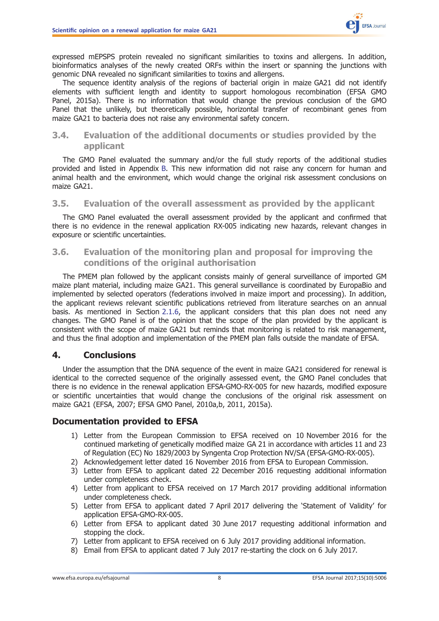

<span id="page-7-0"></span>expressed mEPSPS protein revealed no significant similarities to toxins and allergens. In addition, bioinformatics analyses of the newly created ORFs within the insert or spanning the junctions with genomic DNA revealed no significant similarities to toxins and allergens.

The sequence identity analysis of the regions of bacterial origin in maize GA21 did not identify elements with sufficient length and identity to support homologous recombination (EFSA GMO Panel, 2015a). There is no information that would change the previous conclusion of the GMO Panel that the unlikely, but theoretically possible, horizontal transfer of recombinant genes from maize GA21 to bacteria does not raise any environmental safety concern.

## 3.4. Evaluation of the additional documents or studies provided by the applicant

The GMO Panel evaluated the summary and/or the full study reports of the additional studies provided and listed in Appendix [B.](#page-10-0) This new information did not raise any concern for human and animal health and the environment, which would change the original risk assessment conclusions on maize GA21.

## 3.5. Evaluation of the overall assessment as provided by the applicant

The GMO Panel evaluated the overall assessment provided by the applicant and confirmed that there is no evidence in the renewal application RX-005 indicating new hazards, relevant changes in exposure or scientific uncertainties.

## 3.6. Evaluation of the monitoring plan and proposal for improving the conditions of the original authorisation

The PMEM plan followed by the applicant consists mainly of general surveillance of imported GM maize plant material, including maize GA21. This general surveillance is coordinated by EuropaBio and implemented by selected operators (federations involved in maize import and processing). In addition, the applicant reviews relevant scientific publications retrieved from literature searches on an annual basis. As mentioned in Section [2.1.6](#page-6-0), the applicant considers that this plan does not need any changes. The GMO Panel is of the opinion that the scope of the plan provided by the applicant is consistent with the scope of maize GA21 but reminds that monitoring is related to risk management, and thus the final adoption and implementation of the PMEM plan falls outside the mandate of EFSA.

## 4. Conclusions

Under the assumption that the DNA sequence of the event in maize GA21 considered for renewal is identical to the corrected sequence of the originally assessed event, the GMO Panel concludes that there is no evidence in the renewal application EFSA-GMO-RX-005 for new hazards, modified exposure or scientific uncertainties that would change the conclusions of the original risk assessment on maize GA21 (EFSA, 2007; EFSA GMO Panel, 2010a,b, 2011, 2015a).

## Documentation provided to EFSA

- 1) Letter from the European Commission to EFSA received on 10 November 2016 for the continued marketing of genetically modified maize GA 21 in accordance with articles 11 and 23 of Regulation (EC) No 1829/2003 by Syngenta Crop Protection NV/SA (EFSA-GMO-RX-005).
- 2) Acknowledgement letter dated 16 November 2016 from EFSA to European Commission.
- 3) Letter from EFSA to applicant dated 22 December 2016 requesting additional information under completeness check.
- 4) Letter from applicant to EFSA received on 17 March 2017 providing additional information under completeness check.
- 5) Letter from EFSA to applicant dated 7 April 2017 delivering the 'Statement of Validity' for application EFSA-GMO-RX-005.
- 6) Letter from EFSA to applicant dated 30 June 2017 requesting additional information and stopping the clock.
- 7) Letter from applicant to EFSA received on 6 July 2017 providing additional information.
- 8) Email from EFSA to applicant dated 7 July 2017 re-starting the clock on 6 July 2017.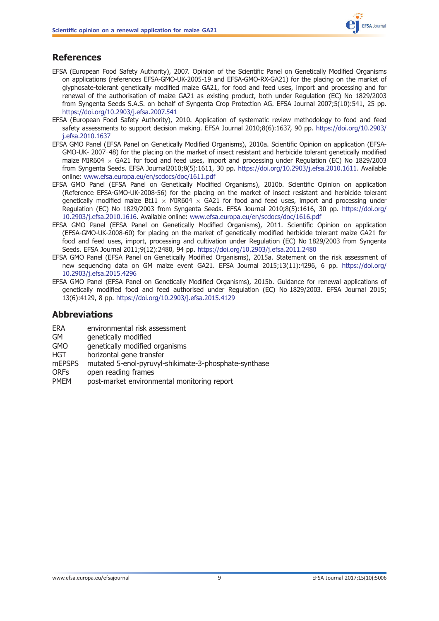## <span id="page-8-0"></span>**References**

- EFSA (European Food Safety Authority), 2007. Opinion of the Scientific Panel on Genetically Modified Organisms on applications (references EFSA-GMO-UK-2005-19 and EFSA-GMO-RX-GA21) for the placing on the market of glyphosate-tolerant genetically modified maize GA21, for food and feed uses, import and processing and for renewal of the authorisation of maize GA21 as existing product, both under Regulation (EC) No 1829/2003 from Syngenta Seeds S.A.S. on behalf of Syngenta Crop Protection AG. EFSA Journal 2007;5(10):541, 25 pp. <https://doi.org/10.2903/j.efsa.2007.541>
- EFSA (European Food Safety Authority), 2010. Application of systematic review methodology to food and feed safety assessments to support decision making. EFSA Journal 2010;8(6):1637, 90 pp. [https://doi.org/10.2903/](https://doi.org/10.2903/j.efsa.2010.1637) [j.efsa.2010.1637](https://doi.org/10.2903/j.efsa.2010.1637)
- EFSA GMO Panel (EFSA Panel on Genetically Modified Organisms), 2010a. Scientific Opinion on application (EFSA-GMO-UK- 2007–48) for the placing on the market of insect resistant and herbicide tolerant genetically modified maize MIR604  $\times$  GA21 for food and feed uses, import and processing under Regulation (EC) No 1829/2003 from Syngenta Seeds. EFSA Journal2010;8(5):1611, 30 pp. [https://doi.org/10.2903/j.efsa.2010.1611.](https://doi.org/10.2903/j.efsa.2010.1611) Available online: <www.efsa.europa.eu/en/scdocs/doc/1611.pdf>
- EFSA GMO Panel (EFSA Panel on Genetically Modified Organisms), 2010b. Scientific Opinion on application (Reference EFSA-GMO-UK-2008-56) for the placing on the market of insect resistant and herbicide tolerant genetically modified maize Bt11  $\times$  MIR604  $\times$  GA21 for food and feed uses, import and processing under Regulation (EC) No 1829/2003 from Syngenta Seeds. EFSA Journal 2010;8(5):1616, 30 pp. [https://doi.org/](https://doi.org/10.2903/j.efsa.2010.1616) [10.2903/j.efsa.2010.1616](https://doi.org/10.2903/j.efsa.2010.1616). Available online: <www.efsa.europa.eu/en/scdocs/doc/1616.pdf>
- EFSA GMO Panel (EFSA Panel on Genetically Modified Organisms), 2011. Scientific Opinion on application (EFSA-GMO-UK-2008-60) for placing on the market of genetically modified herbicide tolerant maize GA21 for food and feed uses, import, processing and cultivation under Regulation (EC) No 1829/2003 from Syngenta Seeds. EFSA Journal 2011;9(12):2480, 94 pp. <https://doi.org/10.2903/j.efsa.2011.2480>
- EFSA GMO Panel (EFSA Panel on Genetically Modified Organisms), 2015a. Statement on the risk assessment of new sequencing data on GM maize event GA21. EFSA Journal 2015;13(11):4296, 6 pp. [https://doi.org/](https://doi.org/10.2903/j.efsa.2015.4296) [10.2903/j.efsa.2015.4296](https://doi.org/10.2903/j.efsa.2015.4296)
- EFSA GMO Panel (EFSA Panel on Genetically Modified Organisms), 2015b. Guidance for renewal applications of genetically modified food and feed authorised under Regulation (EC) No 1829/2003. EFSA Journal 2015; 13(6):4129, 8 pp. <https://doi.org/10.2903/j.efsa.2015.4129>

## Abbreviations

- ERA environmental risk assessment
- GM genetically modified
- GMO genetically modified organisms
- HGT horizontal gene transfer
- mEPSPS mutated 5-enol-pyruvyl-shikimate-3-phosphate-synthase
- ORFs open reading frames
- PMEM post-market environmental monitoring report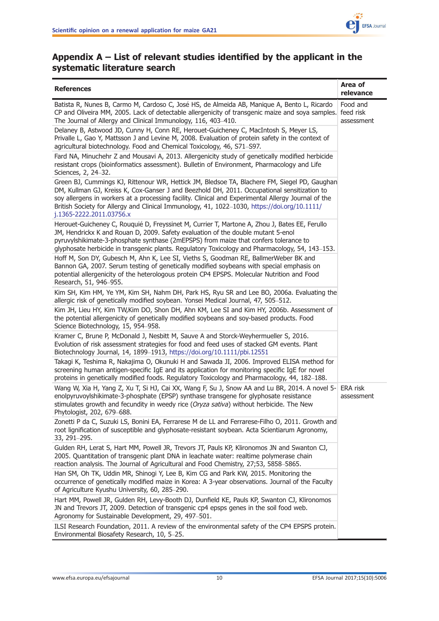

## <span id="page-9-0"></span>Appendix A – List of relevant studies identified by the applicant in the systematic literature search

| Area of<br><b>References</b><br>relevance                                                                                                                                                                                                                                                                                                                                                                                      |            |  |
|--------------------------------------------------------------------------------------------------------------------------------------------------------------------------------------------------------------------------------------------------------------------------------------------------------------------------------------------------------------------------------------------------------------------------------|------------|--|
| Batista R, Nunes B, Carmo M, Cardoso C, José HS, de Almeida AB, Manique A, Bento L, Ricardo<br>CP and Oliveira MM, 2005. Lack of detectable allergenicity of transgenic maize and soya samples. feed risk<br>The Journal of Allergy and Clinical Immunology, 116, 403-410.                                                                                                                                                     |            |  |
| Delaney B, Astwood JD, Cunny H, Conn RE, Herouet-Guicheney C, MacIntosh S, Meyer LS,<br>Privalle L, Gao Y, Mattsson J and Levine M, 2008. Evaluation of protein safety in the context of<br>agricultural biotechnology. Food and Chemical Toxicology, 46, S71-S97.                                                                                                                                                             |            |  |
| Fard NA, Minuchehr Z and Mousavi A, 2013. Allergenicity study of genetically modified herbicide<br>resistant crops (bioinformatics assessment). Bulletin of Environment, Pharmacology and Life<br>Sciences, 2, 24-32.                                                                                                                                                                                                          |            |  |
| Green BJ, Cummings KJ, Rittenour WR, Hettick JM, Bledsoe TA, Blachere FM, Siegel PD, Gaughan<br>DM, Kullman GJ, Kreiss K, Cox-Ganser J and Beezhold DH, 2011. Occupational sensitization to<br>soy allergens in workers at a processing facility. Clinical and Experimental Allergy Journal of the<br>British Society for Allergy and Clinical Immunology, 41, 1022-1030, https://doi.org/10.1111/<br>j.1365-2222.2011.03756.x |            |  |
| Herouet-Guicheney C, Rouquié D, Freyssinet M, Currier T, Martone A, Zhou J, Bates EE, Ferullo<br>JM, Hendrickx K and Rouan D, 2009. Safety evaluation of the double mutant 5-enol<br>pyruvylshikimate-3-phosphate synthase (2mEPSPS) from maize that confers tolerance to<br>glyphosate herbicide in transgenic plants. Regulatory Toxicology and Pharmacology, 54, 143-153.                                                   |            |  |
| Hoff M, Son DY, Gubesch M, Ahn K, Lee SI, Vieths S, Goodman RE, BallmerWeber BK and<br>Bannon GA, 2007. Serum testing of genetically modified soybeans with special emphasis on<br>potential allergenicity of the heterologous protein CP4 EPSPS. Molecular Nutrition and Food<br>Research, 51, 946-955.                                                                                                                       |            |  |
| Kim SH, Kim HM, Ye YM, Kim SH, Nahm DH, Park HS, Ryu SR and Lee BO, 2006a. Evaluating the<br>allergic risk of genetically modified soybean. Yonsei Medical Journal, 47, 505-512.                                                                                                                                                                                                                                               |            |  |
| Kim JH, Lieu HY, Kim TW, Kim DO, Shon DH, Ahn KM, Lee SI and Kim HY, 2006b. Assessment of<br>the potential allergenicity of genetically modified soybeans and soy-based products. Food<br>Science Biotechnology, 15, 954–958.                                                                                                                                                                                                  |            |  |
| Kramer C, Brune P, McDonald J, Nesbitt M, Sauve A and Storck-Weyhermueller S, 2016.<br>Evolution of risk assessment strategies for food and feed uses of stacked GM events. Plant<br>Biotechnology Journal, 14, 1899-1913, https://doi.org/10.1111/pbi.12551                                                                                                                                                                   |            |  |
| Takagi K, Teshima R, Nakajima O, Okunuki H and Sawada JI, 2006. Improved ELISA method for<br>screening human antigen-specific IgE and its application for monitoring specific IgE for novel<br>proteins in genetically modified foods. Regulatory Toxicology and Pharmacology, 44, 182-188.                                                                                                                                    |            |  |
| Wang W, Xia H, Yang Z, Xu T, Si HJ, Cai XX, Wang F, Su J, Snow AA and Lu BR, 2014. A novel 5- ERA risk<br>enolpyruvoylshikimate-3-phosphate (EPSP) synthase transgene for glyphosate resistance<br>stimulates growth and fecundity in weedy rice (Oryza sativa) without herbicide. The New<br>Phytologist, 202, 679-688.                                                                                                       | assessment |  |
| Zonetti P da C, Suzuki LS, Bonini EA, Ferrarese M de LL and Ferrarese-Filho O, 2011. Growth and<br>root lignification of susceptible and glyphosate-resistant soybean. Acta Scientiarum Agronomy,<br>33, 291-295.                                                                                                                                                                                                              |            |  |
| Gulden RH, Lerat S, Hart MM, Powell JR, Trevors JT, Pauls KP, Klironomos JN and Swanton CJ,<br>2005. Quantitation of transgenic plant DNA in leachate water: realtime polymerase chain<br>reaction analysis. The Journal of Agricultural and Food Chemistry, 27;53, 5858-5865.                                                                                                                                                 |            |  |
| Han SM, Oh TK, Uddin MR, Shinogi Y, Lee B, Kim CG and Park KW, 2015. Monitoring the<br>occurrence of genetically modified maize in Korea: A 3-year observations. Journal of the Faculty<br>of Agriculture Kyushu University, 60, 285-290.                                                                                                                                                                                      |            |  |
| Hart MM, Powell JR, Gulden RH, Levy-Booth DJ, Dunfield KE, Pauls KP, Swanton CJ, Klironomos<br>JN and Trevors JT, 2009. Detection of transgenic cp4 epsps genes in the soil food web.<br>Agronomy for Sustainable Development, 29, 497-501.                                                                                                                                                                                    |            |  |
| ILSI Research Foundation, 2011. A review of the environmental safety of the CP4 EPSPS protein.<br>Environmental Biosafety Research, 10, 5-25.                                                                                                                                                                                                                                                                                  |            |  |